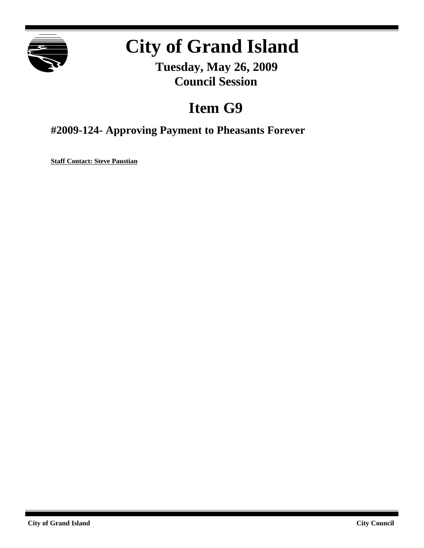

# **City of Grand Island**

**Tuesday, May 26, 2009 Council Session**

## **Item G9**

## **#2009-124- Approving Payment to Pheasants Forever**

**Staff Contact: Steve Paustian**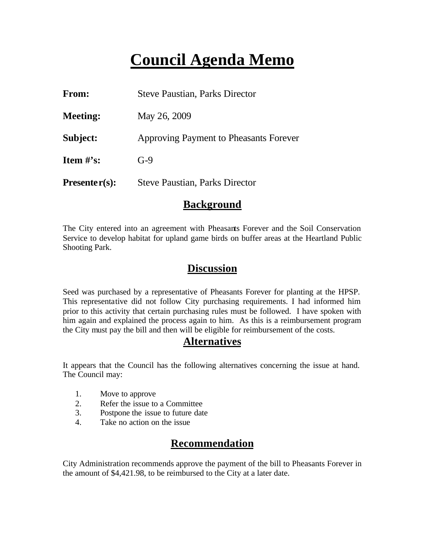## **Council Agenda Memo**

| <b>From:</b>    | <b>Steve Paustian, Parks Director</b>  |
|-----------------|----------------------------------------|
| <b>Meeting:</b> | May 26, 2009                           |
| Subject:        | Approving Payment to Pheasants Forever |
| Item $\#$ 's:   | $G-9$                                  |
| $Presenter(s):$ | <b>Steve Paustian, Parks Director</b>  |

#### **Background**

The City entered into an agreement with Pheasants Forever and the Soil Conservation Service to develop habitat for upland game birds on buffer areas at the Heartland Public Shooting Park.

#### **Discussion**

Seed was purchased by a representative of Pheasants Forever for planting at the HPSP. This representative did not follow City purchasing requirements. I had informed him prior to this activity that certain purchasing rules must be followed. I have spoken with him again and explained the process again to him. As this is a reimbursement program the City must pay the bill and then will be eligible for reimbursement of the costs.

#### **Alternatives**

It appears that the Council has the following alternatives concerning the issue at hand. The Council may:

- 1. Move to approve
- 2. Refer the issue to a Committee
- 3. Postpone the issue to future date
- 4. Take no action on the issue

### **Recommendation**

City Administration recommends approve the payment of the bill to Pheasants Forever in the amount of \$4,421.98, to be reimbursed to the City at a later date.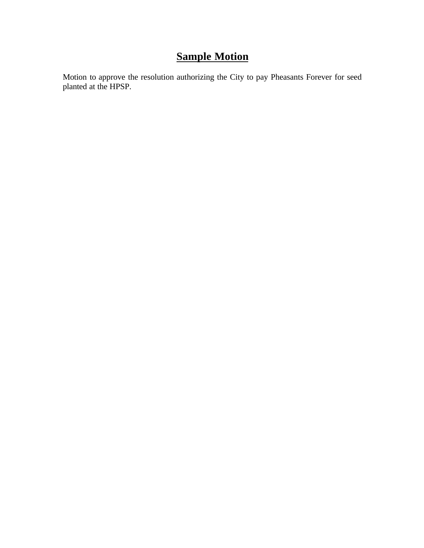## **Sample Motion**

Motion to approve the resolution authorizing the City to pay Pheasants Forever for seed planted at the HPSP.